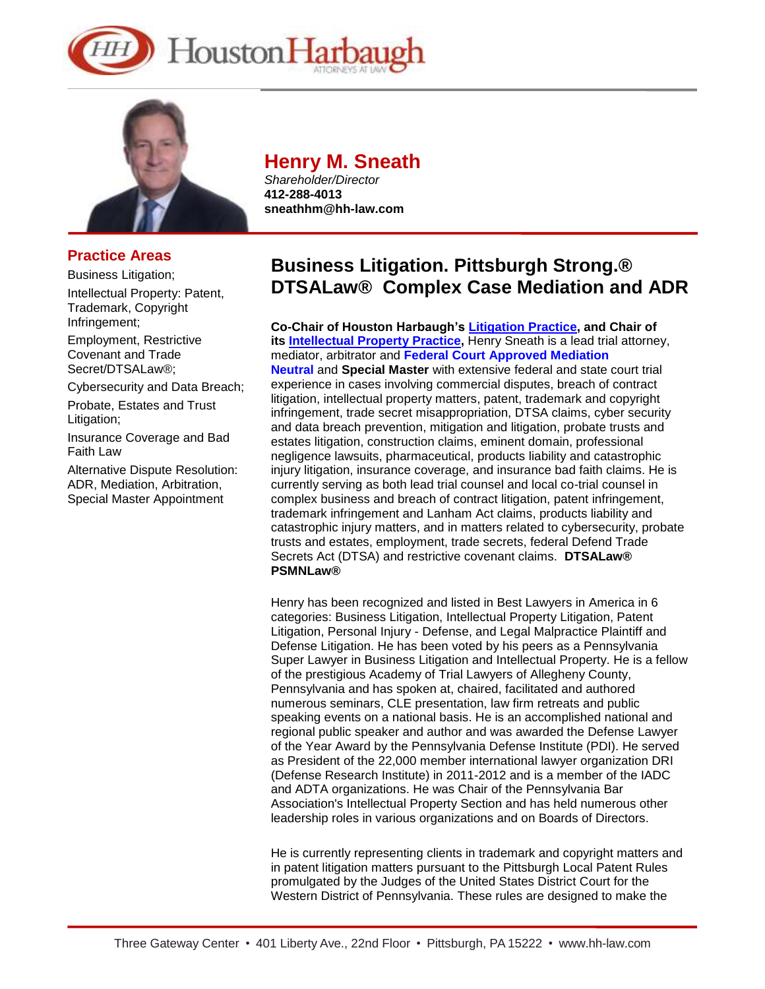



## **Practice Areas**

Business Litigation;

Intellectual Property: Patent, Trademark, Copyright Infringement;

Employment, Restrictive Covenant and Trade Secret/DTSALaw®;

Cybersecurity and Data Breach;

Probate, Estates and Trust Litigation;

Insurance Coverage and Bad Faith Law

Alternative Dispute Resolution: ADR, Mediation, Arbitration, Special Master Appointment

## **Henry M. Sneath**

*Shareholder/Director* **412-288-4013 sneathhm@hh-law.com** 

# **Business Litigation. Pittsburgh Strong.® DTSALaw® Complex Case Mediation and ADR**

**Co-Chair of Houston Harbaugh's [Litigation](https://www.hh-law.com/Business-Litigation/) Practice, and Chair of its [Intellectual](https://www.hh-law.com/intellectual-property-audits-application-prosecution-protection-litigation/) Property Practice,** Henry Sneath is a lead trial attorney, mediator, arbitrator and **Federal Court Approved [Mediation](https://www2.pawd.uscourts.gov/Applications/pawd_adr/Pages/ListPerson.cfm) [Neutral](https://www2.pawd.uscourts.gov/Applications/pawd_adr/Pages/ListPerson.cfm)** and **Special Master** with extensive federal and state court trial experience in cases involving commercial disputes, breach of contract litigation, intellectual property matters, patent, trademark and copyright infringement, trade secret misappropriation, DTSA claims, cyber security and data breach prevention, mitigation and litigation, probate trusts and estates litigation, construction claims, eminent domain, professional negligence lawsuits, pharmaceutical, products liability and catastrophic injury litigation, insurance coverage, and insurance bad faith claims. He is currently serving as both lead trial counsel and local co-trial counsel in complex business and breach of contract litigation, patent infringement, trademark infringement and Lanham Act claims, products liability and catastrophic injury matters, and in matters related to cybersecurity, probate trusts and estates, employment, trade secrets, federal Defend Trade Secrets Act (DTSA) and restrictive covenant claims. **DTSALaw® PSMNLaw®**

Henry has been recognized and listed in Best Lawyers in America in 6 categories: Business Litigation, Intellectual Property Litigation, Patent Litigation, Personal Injury - Defense, and Legal Malpractice Plaintiff and Defense Litigation. He has been voted by his peers as a Pennsylvania Super Lawyer in Business Litigation and Intellectual Property. He is a fellow of the prestigious Academy of Trial Lawyers of Allegheny County, Pennsylvania and has spoken at, chaired, facilitated and authored numerous seminars, CLE presentation, law firm retreats and public speaking events on a national basis. He is an accomplished national and regional public speaker and author and was awarded the Defense Lawyer of the Year Award by the Pennsylvania Defense Institute (PDI). He served as President of the 22,000 member international lawyer organization DRI (Defense Research Institute) in 2011-2012 and is a member of the IADC and ADTA organizations. He was Chair of the Pennsylvania Bar Association's Intellectual Property Section and has held numerous other leadership roles in various organizations and on Boards of Directors.

He is currently representing clients in trademark and copyright matters and in patent litigation matters pursuant to the Pittsburgh Local Patent Rules promulgated by the Judges of the United States District Court for the Western District of Pennsylvania. These rules are designed to make the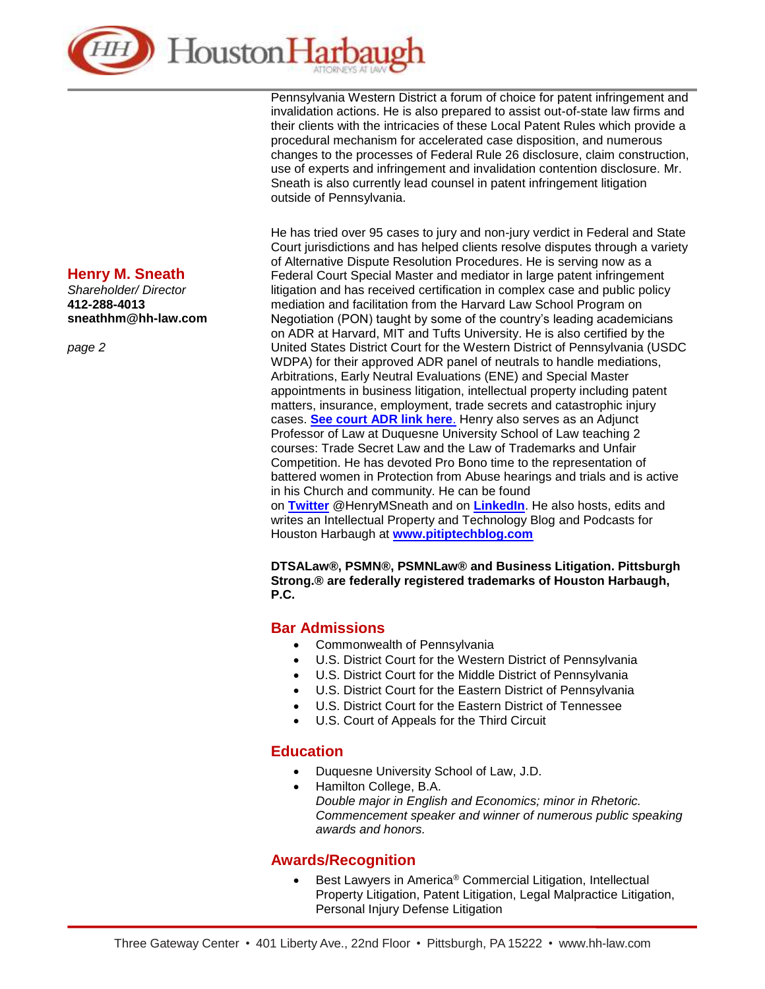

Pennsylvania Western District a forum of choice for patent infringement and invalidation actions. He is also prepared to assist out-of-state law firms and their clients with the intricacies of these Local Patent Rules which provide a procedural mechanism for accelerated case disposition, and numerous changes to the processes of Federal Rule 26 disclosure, claim construction, use of experts and infringement and invalidation contention disclosure. Mr. Sneath is also currently lead counsel in patent infringement litigation outside of Pennsylvania.

He has tried over 95 cases to jury and non-jury verdict in Federal and State Court jurisdictions and has helped clients resolve disputes through a variety of Alternative Dispute Resolution Procedures. He is serving now as a Federal Court Special Master and mediator in large patent infringement litigation and has received certification in complex case and public policy mediation and facilitation from the Harvard Law School Program on Negotiation (PON) taught by some of the country's leading academicians on ADR at Harvard, MIT and Tufts University. He is also certified by the United States District Court for the Western District of Pennsylvania (USDC WDPA) for their approved ADR panel of neutrals to handle mediations, Arbitrations, Early Neutral Evaluations (ENE) and Special Master appointments in business litigation, intellectual property including patent matters, insurance, employment, trade secrets and catastrophic injury cases. **[See court ADR link here](https://www2.pawd.uscourts.gov/Applications/pawd_adr/Pages/ListPerson.cfm)**. Henry also serves as an Adjunct Professor of Law at Duquesne University School of Law teaching 2 courses: Trade Secret Law and the Law of Trademarks and Unfair Competition. He has devoted Pro Bono time to the representation of battered women in Protection from Abuse hearings and trials and is active in his Church and community. He can be found

on **[Twitter](https://twitter.com/HenryMSneath)** @HenryMSneath and on **[LinkedIn](https://www.linkedin.com/in/henrysneath/)**. He also hosts, edits and writes an Intellectual Property and Technology Blog and Podcasts for Houston Harbaugh at **[www.pitiptechblog.com](http://www.pitiptechblog.com/)**

**DTSALaw®, PSMN®, PSMNLaw® and Business Litigation. Pittsburgh Strong.® are federally registered trademarks of Houston Harbaugh, P.C.**

#### **Bar Admissions**

- Commonwealth of Pennsylvania
- U.S. District Court for the Western District of Pennsylvania
- U.S. District Court for the Middle District of Pennsylvania
- U.S. District Court for the Eastern District of Pennsylvania
- U.S. District Court for the Eastern District of Tennessee
- U.S. Court of Appeals for the Third Circuit

#### **Education**

- Duquesne University School of Law, J.D.
- Hamilton College, B.A. *Double major in English and Economics; minor in Rhetoric. Commencement speaker and winner of numerous public speaking awards and honors.*

#### **Awards/Recognition**

• Best Lawyers in America® Commercial Litigation, Intellectual Property Litigation, Patent Litigation, Legal Malpractice Litigation, Personal Injury Defense Litigation

#### **Henry M. Sneath**

*Shareholder/ Director* **412-288-4013 sneathhm@hh-law.com**

*page 2*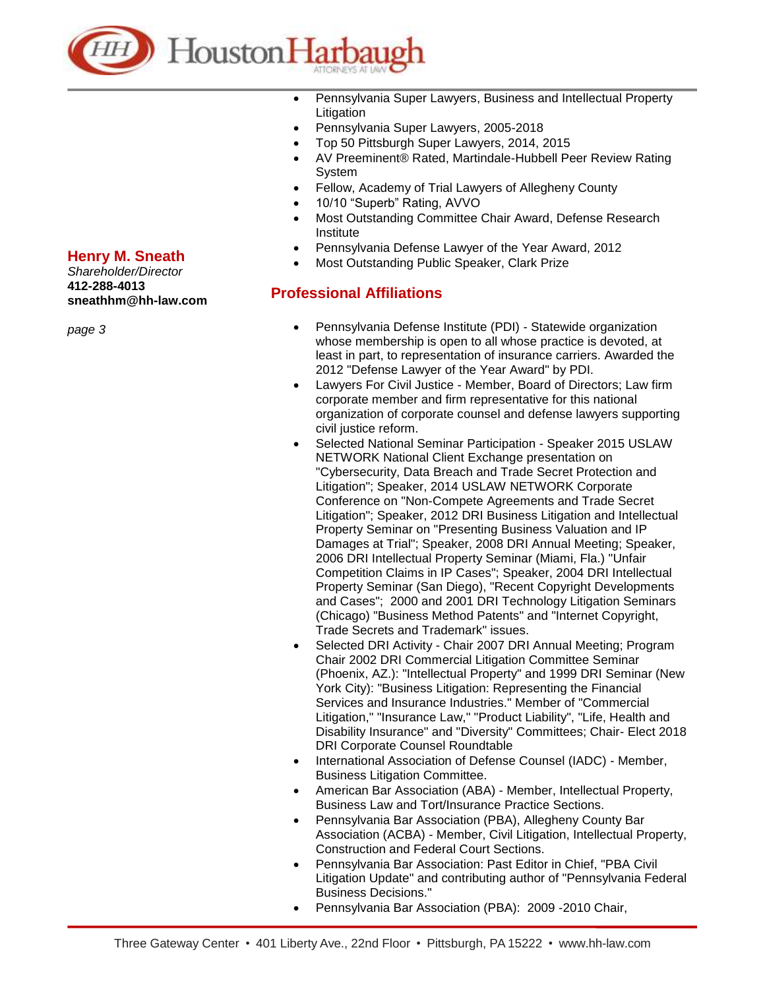

- Pennsylvania Super Lawyers, Business and Intellectual Property **Litigation**
- Pennsylvania Super Lawyers, 2005-2018
- Top 50 Pittsburgh Super Lawyers, 2014, 2015
- AV Preeminent® Rated, Martindale-Hubbell Peer Review Rating System
- Fellow, Academy of Trial Lawyers of Allegheny County
- 10/10 "Superb" Rating, AVVO
- Most Outstanding Committee Chair Award, Defense Research Institute
- Pennsylvania Defense Lawyer of the Year Award, 2012
- Most Outstanding Public Speaker, Clark Prize

### **Professional Affiliations**

- Pennsylvania Defense Institute (PDI) Statewide organization whose membership is open to all whose practice is devoted, at least in part, to representation of insurance carriers. Awarded the 2012 "Defense Lawyer of the Year Award" by PDI.
- Lawyers For Civil Justice Member, Board of Directors; Law firm corporate member and firm representative for this national organization of corporate counsel and defense lawyers supporting civil justice reform.
- Selected National Seminar Participation Speaker 2015 USLAW NETWORK National Client Exchange presentation on "Cybersecurity, Data Breach and Trade Secret Protection and Litigation"; Speaker, 2014 USLAW NETWORK Corporate Conference on "Non-Compete Agreements and Trade Secret Litigation"; Speaker, 2012 DRI Business Litigation and Intellectual Property Seminar on "Presenting Business Valuation and IP Damages at Trial"; Speaker, 2008 DRI Annual Meeting; Speaker, 2006 DRI Intellectual Property Seminar (Miami, Fla.) "Unfair Competition Claims in IP Cases"; Speaker, 2004 DRI Intellectual Property Seminar (San Diego), "Recent Copyright Developments and Cases"; 2000 and 2001 DRI Technology Litigation Seminars (Chicago) "Business Method Patents" and "Internet Copyright, Trade Secrets and Trademark" issues.
- Selected DRI Activity Chair 2007 DRI Annual Meeting; Program Chair 2002 DRI Commercial Litigation Committee Seminar (Phoenix, AZ.): "Intellectual Property" and 1999 DRI Seminar (New York City): "Business Litigation: Representing the Financial Services and Insurance Industries." Member of "Commercial Litigation," "Insurance Law," "Product Liability", "Life, Health and Disability Insurance" and "Diversity" Committees; Chair- Elect 2018 DRI Corporate Counsel Roundtable
- International Association of Defense Counsel (IADC) Member, Business Litigation Committee.
- American Bar Association (ABA) Member, Intellectual Property, Business Law and Tort/Insurance Practice Sections.
- Pennsylvania Bar Association (PBA), Allegheny County Bar Association (ACBA) - Member, Civil Litigation, Intellectual Property, Construction and Federal Court Sections.
- Pennsylvania Bar Association: Past Editor in Chief, "PBA Civil Litigation Update" and contributing author of "Pennsylvania Federal Business Decisions."
- Pennsylvania Bar Association (PBA): 2009 -2010 Chair,

## **Henry M. Sneath**

*Shareholder/Director* **412-288-4013 sneathhm@hh-law.com**

*page 3*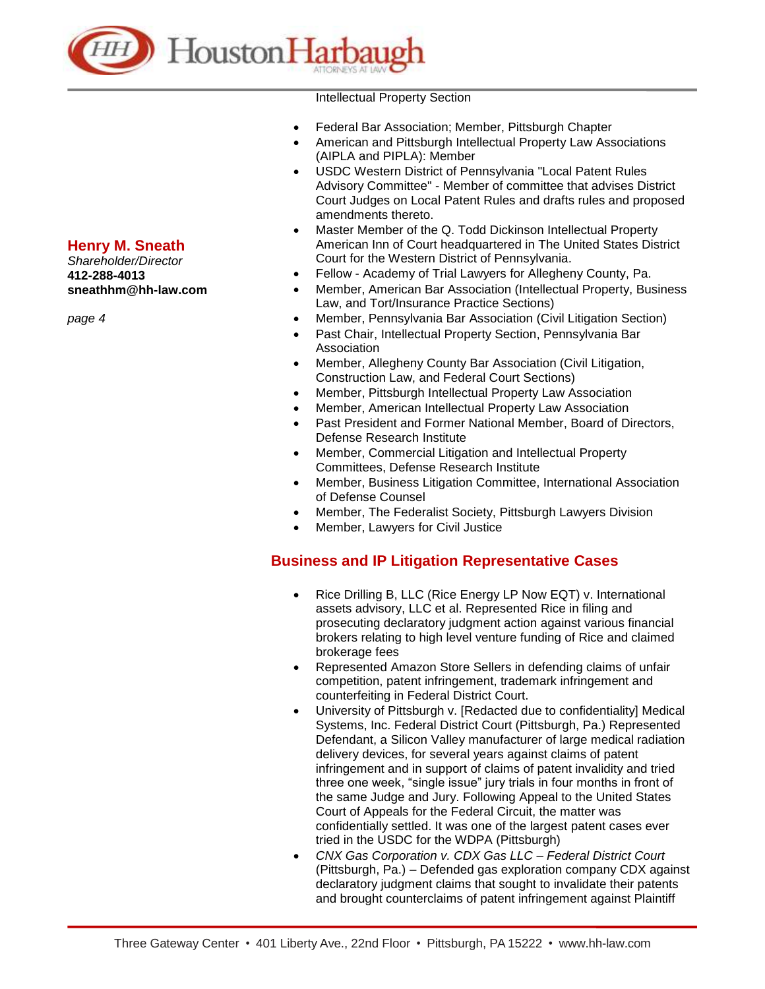

#### Intellectual Property Section

- Federal Bar Association; Member, Pittsburgh Chapter
- American and Pittsburgh Intellectual Property Law Associations (AIPLA and PIPLA): Member
- USDC Western District of Pennsylvania "Local Patent Rules Advisory Committee" - Member of committee that advises District Court Judges on Local Patent Rules and drafts rules and proposed amendments thereto.
- Master Member of the Q. Todd Dickinson Intellectual Property American Inn of Court headquartered in The United States District Court for the Western District of Pennsylvania.
- Fellow Academy of Trial Lawyers for Allegheny County, Pa.
- Member, American Bar Association (Intellectual Property, Business Law, and Tort/Insurance Practice Sections)
- Member, Pennsylvania Bar Association (Civil Litigation Section)
- Past Chair, Intellectual Property Section, Pennsylvania Bar Association
- Member, Allegheny County Bar Association (Civil Litigation, Construction Law, and Federal Court Sections)
- Member, Pittsburgh Intellectual Property Law Association
- Member, American Intellectual Property Law Association
- Past President and Former National Member, Board of Directors, Defense Research Institute
- Member, Commercial Litigation and Intellectual Property Committees, Defense Research Institute
- Member, Business Litigation Committee, International Association of Defense Counsel
- Member, The Federalist Society, Pittsburgh Lawyers Division
- Member, Lawyers for Civil Justice

### **Business and IP Litigation Representative Cases**

- Rice Drilling B, LLC (Rice Energy LP Now EQT) v. International assets advisory, LLC et al. Represented Rice in filing and prosecuting declaratory judgment action against various financial brokers relating to high level venture funding of Rice and claimed brokerage fees
- Represented Amazon Store Sellers in defending claims of unfair competition, patent infringement, trademark infringement and counterfeiting in Federal District Court.
- University of Pittsburgh v. [Redacted due to confidentiality] Medical Systems, Inc. Federal District Court (Pittsburgh, Pa.) Represented Defendant, a Silicon Valley manufacturer of large medical radiation delivery devices, for several years against claims of patent infringement and in support of claims of patent invalidity and tried three one week, "single issue" jury trials in four months in front of the same Judge and Jury. Following Appeal to the United States Court of Appeals for the Federal Circuit, the matter was confidentially settled. It was one of the largest patent cases ever tried in the USDC for the WDPA (Pittsburgh)
- *CNX Gas Corporation v. CDX Gas LLC – Federal District Court*  (Pittsburgh, Pa.) – Defended gas exploration company CDX against declaratory judgment claims that sought to invalidate their patents and brought counterclaims of patent infringement against Plaintiff

## **Henry M. Sneath**

*Shareholder/Director* **412-288-4013 sneathhm@hh-law.com**

*page 4*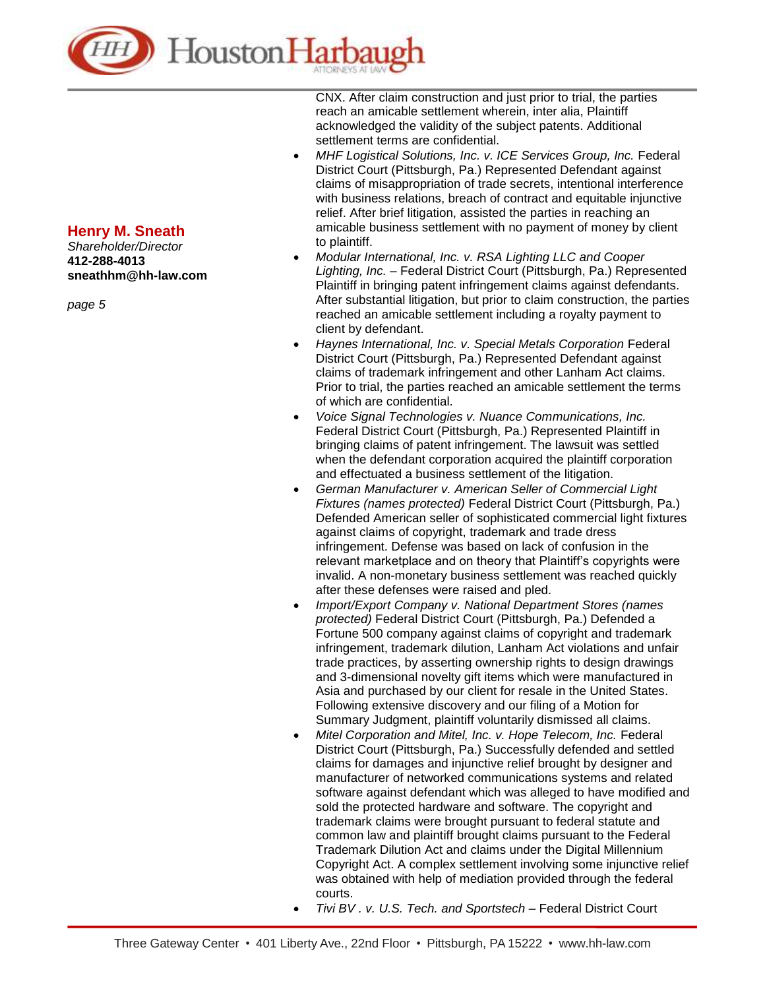

*Shareholder/Director* **412-288-4013 sneathhm@hh-law.com**

*page 5*

CNX. After claim construction and just prior to trial, the parties reach an amicable settlement wherein, inter alia, Plaintiff acknowledged the validity of the subject patents. Additional settlement terms are confidential.

- *MHF Logistical Solutions, Inc. v. ICE Services Group, Inc.* Federal District Court (Pittsburgh, Pa.) Represented Defendant against claims of misappropriation of trade secrets, intentional interference with business relations, breach of contract and equitable injunctive relief. After brief litigation, assisted the parties in reaching an amicable business settlement with no payment of money by client to plaintiff.
- *Modular International, Inc. v. RSA Lighting LLC and Cooper Lighting, Inc.* – Federal District Court (Pittsburgh, Pa.) Represented Plaintiff in bringing patent infringement claims against defendants. After substantial litigation, but prior to claim construction, the parties reached an amicable settlement including a royalty payment to client by defendant.
- *Haynes International, Inc. v. Special Metals Corporation* Federal District Court (Pittsburgh, Pa.) Represented Defendant against claims of trademark infringement and other Lanham Act claims. Prior to trial, the parties reached an amicable settlement the terms of which are confidential.
- *Voice Signal Technologies v. Nuance Communications, Inc.* Federal District Court (Pittsburgh, Pa.) Represented Plaintiff in bringing claims of patent infringement. The lawsuit was settled when the defendant corporation acquired the plaintiff corporation and effectuated a business settlement of the litigation.
- *German Manufacturer v. American Seller of Commercial Light Fixtures (names protected)* Federal District Court (Pittsburgh, Pa.) Defended American seller of sophisticated commercial light fixtures against claims of copyright, trademark and trade dress infringement. Defense was based on lack of confusion in the relevant marketplace and on theory that Plaintiff's copyrights were invalid. A non-monetary business settlement was reached quickly after these defenses were raised and pled.
- *Import/Export Company v. National Department Stores (names protected)* Federal District Court (Pittsburgh, Pa.) Defended a Fortune 500 company against claims of copyright and trademark infringement, trademark dilution, Lanham Act violations and unfair trade practices, by asserting ownership rights to design drawings and 3-dimensional novelty gift items which were manufactured in Asia and purchased by our client for resale in the United States. Following extensive discovery and our filing of a Motion for Summary Judgment, plaintiff voluntarily dismissed all claims.
- *Mitel Corporation and Mitel, Inc. v. Hope Telecom, Inc.* Federal District Court (Pittsburgh, Pa.) Successfully defended and settled claims for damages and injunctive relief brought by designer and manufacturer of networked communications systems and related software against defendant which was alleged to have modified and sold the protected hardware and software. The copyright and trademark claims were brought pursuant to federal statute and common law and plaintiff brought claims pursuant to the Federal Trademark Dilution Act and claims under the Digital Millennium Copyright Act. A complex settlement involving some injunctive relief was obtained with help of mediation provided through the federal courts.
- *Tivi BV . v. U.S. Tech. and Sportstech* Federal District Court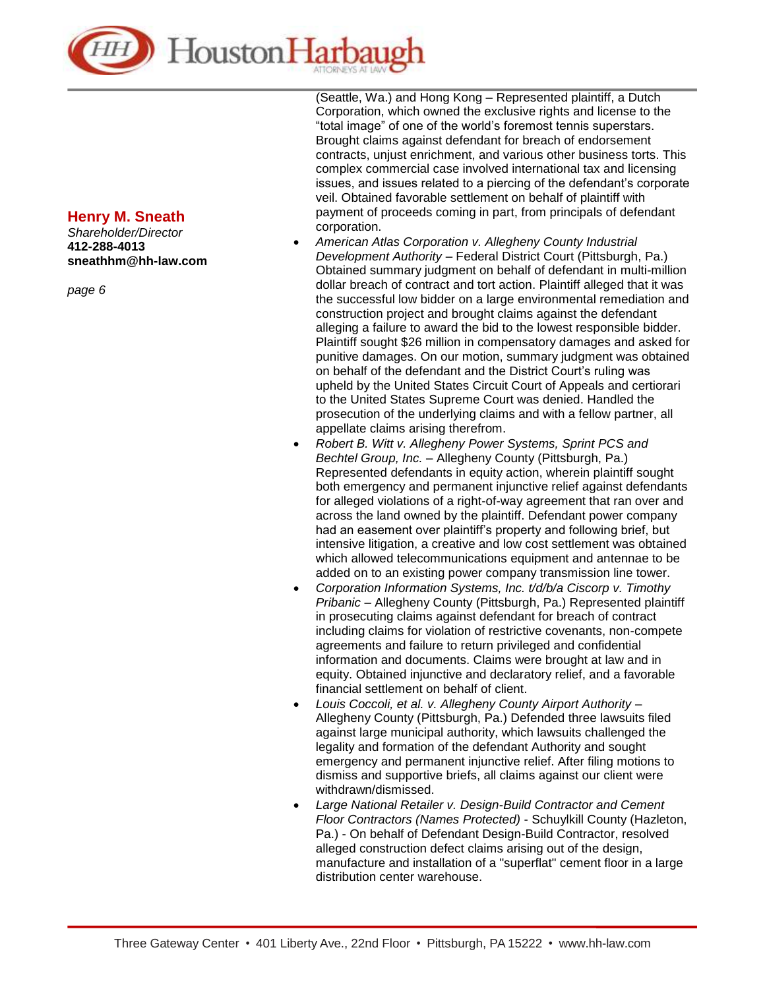

*Shareholder/Director* **412-288-4013 sneathhm@hh-law.com**

*page 6*

(Seattle, Wa.) and Hong Kong – Represented plaintiff, a Dutch Corporation, which owned the exclusive rights and license to the "total image" of one of the world's foremost tennis superstars. Brought claims against defendant for breach of endorsement contracts, unjust enrichment, and various other business torts. This complex commercial case involved international tax and licensing issues, and issues related to a piercing of the defendant's corporate veil. Obtained favorable settlement on behalf of plaintiff with payment of proceeds coming in part, from principals of defendant corporation.

- *American Atlas Corporation v. Allegheny County Industrial Development Authority* – Federal District Court (Pittsburgh, Pa.) Obtained summary judgment on behalf of defendant in multi-million dollar breach of contract and tort action. Plaintiff alleged that it was the successful low bidder on a large environmental remediation and construction project and brought claims against the defendant alleging a failure to award the bid to the lowest responsible bidder. Plaintiff sought \$26 million in compensatory damages and asked for punitive damages. On our motion, summary judgment was obtained on behalf of the defendant and the District Court's ruling was upheld by the United States Circuit Court of Appeals and certiorari to the United States Supreme Court was denied. Handled the prosecution of the underlying claims and with a fellow partner, all appellate claims arising therefrom.
- *Robert B. Witt v. Allegheny Power Systems, Sprint PCS and Bechtel Group, Inc.* – Allegheny County (Pittsburgh, Pa.) Represented defendants in equity action, wherein plaintiff sought both emergency and permanent injunctive relief against defendants for alleged violations of a right-of-way agreement that ran over and across the land owned by the plaintiff. Defendant power company had an easement over plaintiff's property and following brief, but intensive litigation, a creative and low cost settlement was obtained which allowed telecommunications equipment and antennae to be added on to an existing power company transmission line tower.
- *Corporation Information Systems, Inc. t/d/b/a Ciscorp v. Timothy Pribanic* – Allegheny County (Pittsburgh, Pa.) Represented plaintiff in prosecuting claims against defendant for breach of contract including claims for violation of restrictive covenants, non-compete agreements and failure to return privileged and confidential information and documents. Claims were brought at law and in equity. Obtained injunctive and declaratory relief, and a favorable financial settlement on behalf of client.
- *Louis Coccoli, et al. v. Allegheny County Airport Authority* Allegheny County (Pittsburgh, Pa.) Defended three lawsuits filed against large municipal authority, which lawsuits challenged the legality and formation of the defendant Authority and sought emergency and permanent injunctive relief. After filing motions to dismiss and supportive briefs, all claims against our client were withdrawn/dismissed.
- *Large National Retailer v. Design-Build Contractor and Cement Floor Contractors (Names Protected)* - Schuylkill County (Hazleton, Pa.) - On behalf of Defendant Design-Build Contractor, resolved alleged construction defect claims arising out of the design, manufacture and installation of a "superflat" cement floor in a large distribution center warehouse.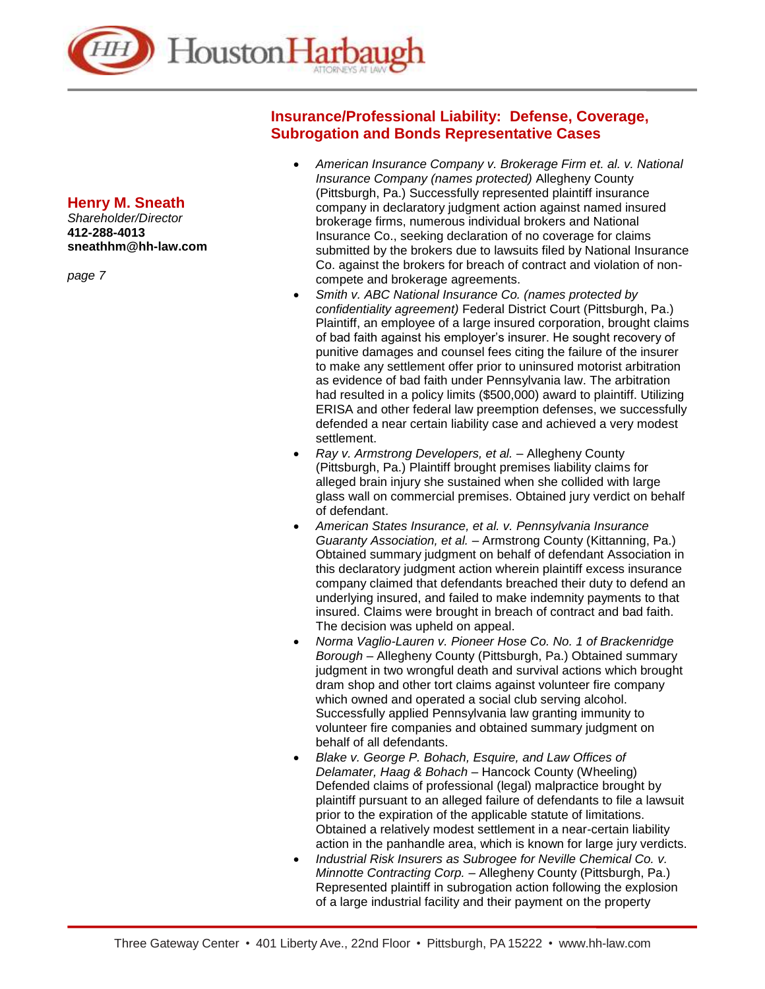

*Shareholder/Director* **412-288-4013 sneathhm@hh-law.com**

*page 7*

#### **Insurance/Professional Liability: Defense, Coverage, Subrogation and Bonds Representative Cases**

- *American Insurance Company v. Brokerage Firm et. al. v. National Insurance Company (names protected)* Allegheny County (Pittsburgh, Pa.) Successfully represented plaintiff insurance company in declaratory judgment action against named insured brokerage firms, numerous individual brokers and National Insurance Co., seeking declaration of no coverage for claims submitted by the brokers due to lawsuits filed by National Insurance Co. against the brokers for breach of contract and violation of noncompete and brokerage agreements.
- *Smith v. ABC National Insurance Co. (names protected by confidentiality agreement)* Federal District Court (Pittsburgh, Pa.) Plaintiff, an employee of a large insured corporation, brought claims of bad faith against his employer's insurer. He sought recovery of punitive damages and counsel fees citing the failure of the insurer to make any settlement offer prior to uninsured motorist arbitration as evidence of bad faith under Pennsylvania law. The arbitration had resulted in a policy limits (\$500,000) award to plaintiff. Utilizing ERISA and other federal law preemption defenses, we successfully defended a near certain liability case and achieved a very modest settlement.
- *Ray v. Armstrong Developers, et al.* Allegheny County (Pittsburgh, Pa.) Plaintiff brought premises liability claims for alleged brain injury she sustained when she collided with large glass wall on commercial premises. Obtained jury verdict on behalf of defendant.
- *American States Insurance, et al. v. Pennsylvania Insurance Guaranty Association, et al.* – Armstrong County (Kittanning, Pa.) Obtained summary judgment on behalf of defendant Association in this declaratory judgment action wherein plaintiff excess insurance company claimed that defendants breached their duty to defend an underlying insured, and failed to make indemnity payments to that insured. Claims were brought in breach of contract and bad faith. The decision was upheld on appeal.
- *Norma Vaglio-Lauren v. Pioneer Hose Co. No. 1 of Brackenridge Borough* – Allegheny County (Pittsburgh, Pa.) Obtained summary judgment in two wrongful death and survival actions which brought dram shop and other tort claims against volunteer fire company which owned and operated a social club serving alcohol. Successfully applied Pennsylvania law granting immunity to volunteer fire companies and obtained summary judgment on behalf of all defendants.
- *Blake v. George P. Bohach, Esquire, and Law Offices of Delamater, Haag & Bohach* – Hancock County (Wheeling) Defended claims of professional (legal) malpractice brought by plaintiff pursuant to an alleged failure of defendants to file a lawsuit prior to the expiration of the applicable statute of limitations. Obtained a relatively modest settlement in a near-certain liability action in the panhandle area, which is known for large jury verdicts.
- *Industrial Risk Insurers as Subrogee for Neville Chemical Co. v. Minnotte Contracting Corp.* – Allegheny County (Pittsburgh, Pa.) Represented plaintiff in subrogation action following the explosion of a large industrial facility and their payment on the property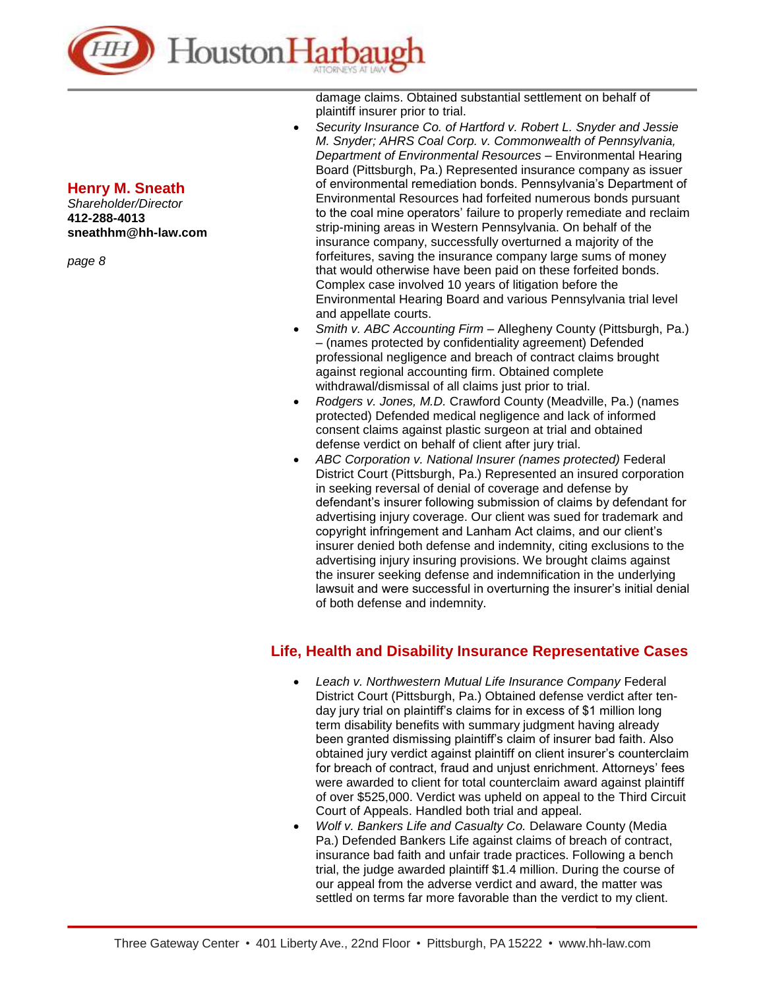

*Shareholder/Director* **412-288-4013 sneathhm@hh-law.com**

*page 8*

damage claims. Obtained substantial settlement on behalf of plaintiff insurer prior to trial.

- *Security Insurance Co. of Hartford v. Robert L. Snyder and Jessie M. Snyder; AHRS Coal Corp. v. Commonwealth of Pennsylvania, Department of Environmental Resources* – Environmental Hearing Board (Pittsburgh, Pa.) Represented insurance company as issuer of environmental remediation bonds. Pennsylvania's Department of Environmental Resources had forfeited numerous bonds pursuant to the coal mine operators' failure to properly remediate and reclaim strip-mining areas in Western Pennsylvania. On behalf of the insurance company, successfully overturned a majority of the forfeitures, saving the insurance company large sums of money that would otherwise have been paid on these forfeited bonds. Complex case involved 10 years of litigation before the Environmental Hearing Board and various Pennsylvania trial level and appellate courts.
- *Smith v. ABC Accounting Firm* Allegheny County (Pittsburgh, Pa.) – (names protected by confidentiality agreement) Defended professional negligence and breach of contract claims brought against regional accounting firm. Obtained complete withdrawal/dismissal of all claims just prior to trial.
- *Rodgers v. Jones, M.D.* Crawford County (Meadville, Pa.) (names protected) Defended medical negligence and lack of informed consent claims against plastic surgeon at trial and obtained defense verdict on behalf of client after jury trial.
- *ABC Corporation v. National Insurer (names protected)* Federal District Court (Pittsburgh, Pa.) Represented an insured corporation in seeking reversal of denial of coverage and defense by defendant's insurer following submission of claims by defendant for advertising injury coverage. Our client was sued for trademark and copyright infringement and Lanham Act claims, and our client's insurer denied both defense and indemnity, citing exclusions to the advertising injury insuring provisions. We brought claims against the insurer seeking defense and indemnification in the underlying lawsuit and were successful in overturning the insurer's initial denial of both defense and indemnity.

## **Life, Health and Disability Insurance Representative Cases**

- *Leach v. Northwestern Mutual Life Insurance Company* Federal District Court (Pittsburgh, Pa.) Obtained defense verdict after tenday jury trial on plaintiff's claims for in excess of \$1 million long term disability benefits with summary judgment having already been granted dismissing plaintiff's claim of insurer bad faith. Also obtained jury verdict against plaintiff on client insurer's counterclaim for breach of contract, fraud and unjust enrichment. Attorneys' fees were awarded to client for total counterclaim award against plaintiff of over \$525,000. Verdict was upheld on appeal to the Third Circuit Court of Appeals. Handled both trial and appeal.
- *Wolf v. Bankers Life and Casualty Co.* Delaware County (Media Pa.) Defended Bankers Life against claims of breach of contract, insurance bad faith and unfair trade practices. Following a bench trial, the judge awarded plaintiff \$1.4 million. During the course of our appeal from the adverse verdict and award, the matter was settled on terms far more favorable than the verdict to my client.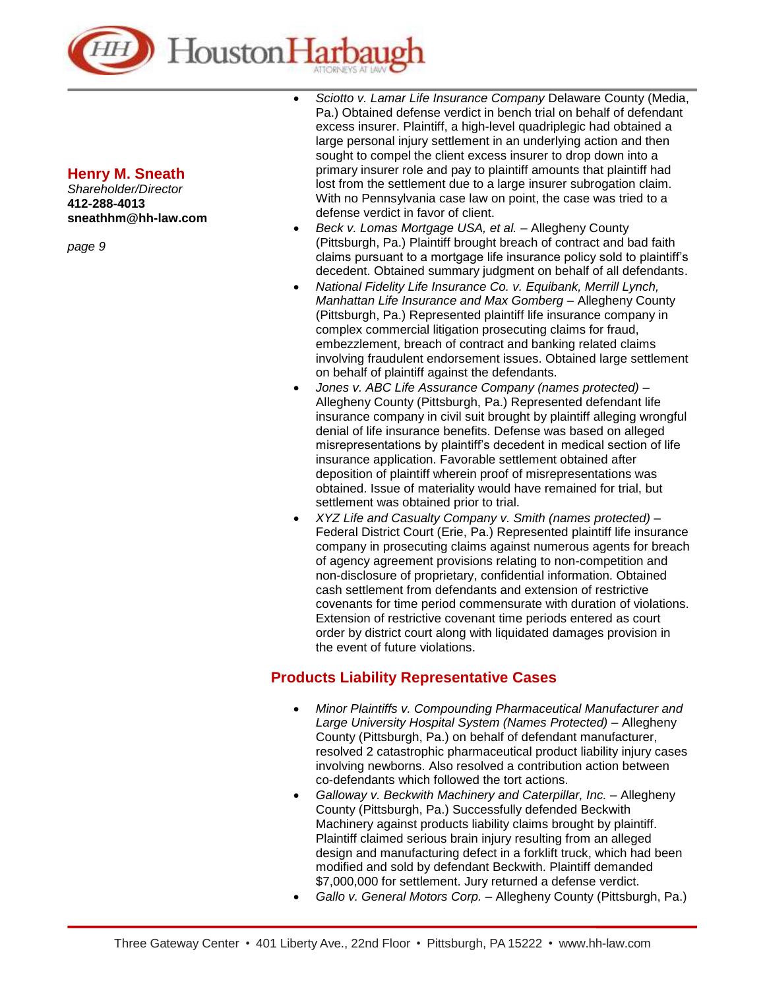

*Shareholder/Director* **412-288-4013 sneathhm@hh-law.com**

*page 9*

- *Sciotto v. Lamar Life Insurance Company* Delaware County (Media, Pa.) Obtained defense verdict in bench trial on behalf of defendant excess insurer. Plaintiff, a high-level quadriplegic had obtained a large personal injury settlement in an underlying action and then sought to compel the client excess insurer to drop down into a primary insurer role and pay to plaintiff amounts that plaintiff had lost from the settlement due to a large insurer subrogation claim. With no Pennsylvania case law on point, the case was tried to a defense verdict in favor of client.
- *Beck v. Lomas Mortgage USA, et al.* Allegheny County (Pittsburgh, Pa.) Plaintiff brought breach of contract and bad faith claims pursuant to a mortgage life insurance policy sold to plaintiff's decedent. Obtained summary judgment on behalf of all defendants.
- *National Fidelity Life Insurance Co. v. Equibank, Merrill Lynch, Manhattan Life Insurance and Max Gomberg* – Allegheny County (Pittsburgh, Pa.) Represented plaintiff life insurance company in complex commercial litigation prosecuting claims for fraud, embezzlement, breach of contract and banking related claims involving fraudulent endorsement issues. Obtained large settlement on behalf of plaintiff against the defendants.
- *Jones v. ABC Life Assurance Company (names protected)* Allegheny County (Pittsburgh, Pa.) Represented defendant life insurance company in civil suit brought by plaintiff alleging wrongful denial of life insurance benefits. Defense was based on alleged misrepresentations by plaintiff's decedent in medical section of life insurance application. Favorable settlement obtained after deposition of plaintiff wherein proof of misrepresentations was obtained. Issue of materiality would have remained for trial, but settlement was obtained prior to trial.
- *XYZ Life and Casualty Company v. Smith (names protected) –* Federal District Court (Erie, Pa.) Represented plaintiff life insurance company in prosecuting claims against numerous agents for breach of agency agreement provisions relating to non-competition and non-disclosure of proprietary, confidential information. Obtained cash settlement from defendants and extension of restrictive covenants for time period commensurate with duration of violations. Extension of restrictive covenant time periods entered as court order by district court along with liquidated damages provision in the event of future violations.

### **Products Liability Representative Cases**

- *Minor Plaintiffs v. Compounding Pharmaceutical Manufacturer and*  Large University Hospital System (Names Protected) - Allegheny County (Pittsburgh, Pa.) on behalf of defendant manufacturer, resolved 2 catastrophic pharmaceutical product liability injury cases involving newborns. Also resolved a contribution action between co-defendants which followed the tort actions.
- *Galloway v. Beckwith Machinery and Caterpillar, Inc.* Allegheny County (Pittsburgh, Pa.) Successfully defended Beckwith Machinery against products liability claims brought by plaintiff. Plaintiff claimed serious brain injury resulting from an alleged design and manufacturing defect in a forklift truck, which had been modified and sold by defendant Beckwith. Plaintiff demanded \$7,000,000 for settlement. Jury returned a defense verdict.
- *Gallo v. General Motors Corp.* Allegheny County (Pittsburgh, Pa.)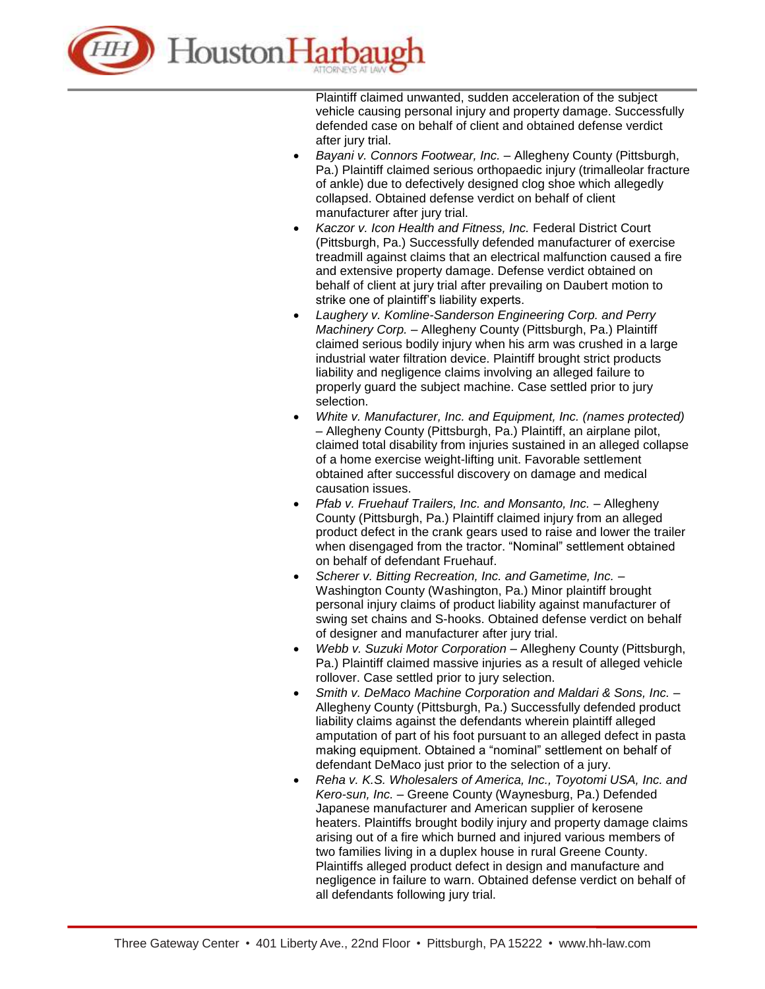

Plaintiff claimed unwanted, sudden acceleration of the subject vehicle causing personal injury and property damage. Successfully defended case on behalf of client and obtained defense verdict after jury trial.

- *Bayani v. Connors Footwear, Inc.* Allegheny County (Pittsburgh, Pa.) Plaintiff claimed serious orthopaedic injury (trimalleolar fracture of ankle) due to defectively designed clog shoe which allegedly collapsed. Obtained defense verdict on behalf of client manufacturer after jury trial.
- *Kaczor v. Icon Health and Fitness, Inc.* Federal District Court (Pittsburgh, Pa.) Successfully defended manufacturer of exercise treadmill against claims that an electrical malfunction caused a fire and extensive property damage. Defense verdict obtained on behalf of client at jury trial after prevailing on Daubert motion to strike one of plaintiff's liability experts.
- *Laughery v. Komline-Sanderson Engineering Corp. and Perry Machinery Corp.* – Allegheny County (Pittsburgh, Pa.) Plaintiff claimed serious bodily injury when his arm was crushed in a large industrial water filtration device. Plaintiff brought strict products liability and negligence claims involving an alleged failure to properly guard the subject machine. Case settled prior to jury selection.
- *White v. Manufacturer, Inc. and Equipment, Inc. (names protected)* – Allegheny County (Pittsburgh, Pa.) Plaintiff, an airplane pilot, claimed total disability from injuries sustained in an alleged collapse of a home exercise weight-lifting unit. Favorable settlement obtained after successful discovery on damage and medical causation issues.
- *Pfab v. Fruehauf Trailers, Inc. and Monsanto, Inc.* Allegheny County (Pittsburgh, Pa.) Plaintiff claimed injury from an alleged product defect in the crank gears used to raise and lower the trailer when disengaged from the tractor. "Nominal" settlement obtained on behalf of defendant Fruehauf.
- *Scherer v. Bitting Recreation, Inc. and Gametime, Inc.* Washington County (Washington, Pa.) Minor plaintiff brought personal injury claims of product liability against manufacturer of swing set chains and S-hooks. Obtained defense verdict on behalf of designer and manufacturer after jury trial.
- *Webb v. Suzuki Motor Corporation* Allegheny County (Pittsburgh, Pa.) Plaintiff claimed massive injuries as a result of alleged vehicle rollover. Case settled prior to jury selection.
- *Smith v. DeMaco Machine Corporation and Maldari & Sons, Inc.* Allegheny County (Pittsburgh, Pa.) Successfully defended product liability claims against the defendants wherein plaintiff alleged amputation of part of his foot pursuant to an alleged defect in pasta making equipment. Obtained a "nominal" settlement on behalf of defendant DeMaco just prior to the selection of a jury.
- *Reha v. K.S. Wholesalers of America, Inc., Toyotomi USA, Inc. and Kero-sun, Inc.* – Greene County (Waynesburg, Pa.) Defended Japanese manufacturer and American supplier of kerosene heaters. Plaintiffs brought bodily injury and property damage claims arising out of a fire which burned and injured various members of two families living in a duplex house in rural Greene County. Plaintiffs alleged product defect in design and manufacture and negligence in failure to warn. Obtained defense verdict on behalf of all defendants following jury trial.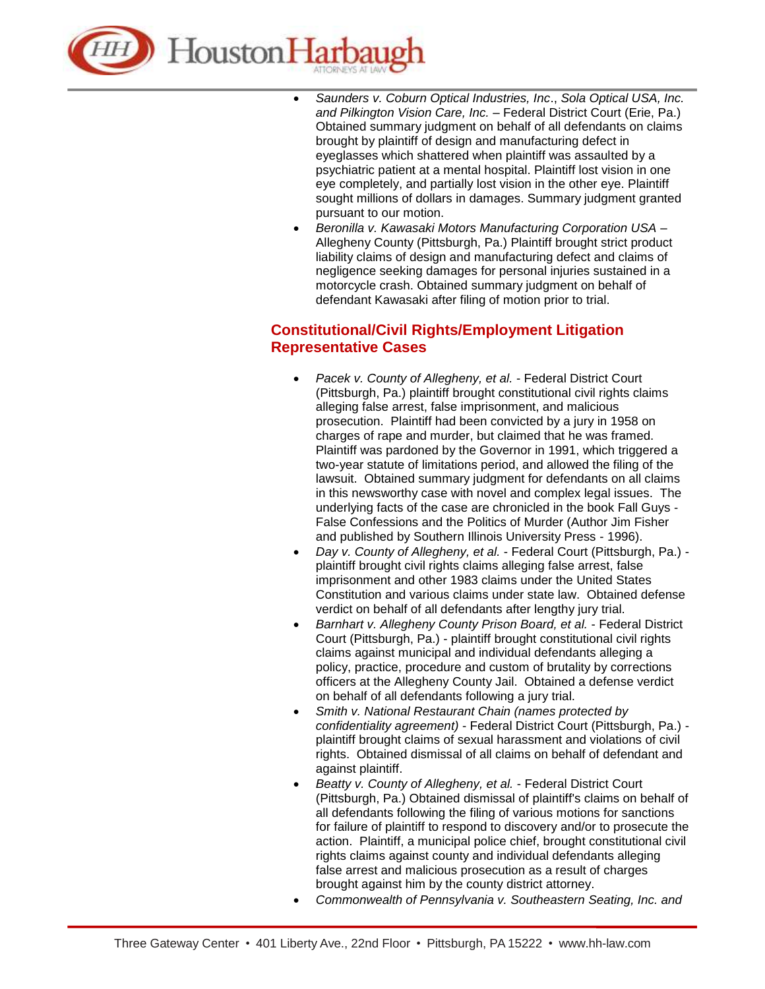

- *Saunders v. Coburn Optical Industries, Inc*., *Sola Optical USA, Inc. and Pilkington Vision Care, Inc.* – Federal District Court (Erie, Pa.) Obtained summary judgment on behalf of all defendants on claims brought by plaintiff of design and manufacturing defect in eyeglasses which shattered when plaintiff was assaulted by a psychiatric patient at a mental hospital. Plaintiff lost vision in one eye completely, and partially lost vision in the other eye. Plaintiff sought millions of dollars in damages. Summary judgment granted pursuant to our motion.
- *Beronilla v. Kawasaki Motors Manufacturing Corporation USA* Allegheny County (Pittsburgh, Pa.) Plaintiff brought strict product liability claims of design and manufacturing defect and claims of negligence seeking damages for personal injuries sustained in a motorcycle crash. Obtained summary judgment on behalf of defendant Kawasaki after filing of motion prior to trial.

## **Constitutional/Civil Rights/Employment Litigation Representative Cases**

- *Pacek v. County of Allegheny, et al.* Federal District Court (Pittsburgh, Pa.) plaintiff brought constitutional civil rights claims alleging false arrest, false imprisonment, and malicious prosecution. Plaintiff had been convicted by a jury in 1958 on charges of rape and murder, but claimed that he was framed. Plaintiff was pardoned by the Governor in 1991, which triggered a two-year statute of limitations period, and allowed the filing of the lawsuit. Obtained summary judgment for defendants on all claims in this newsworthy case with novel and complex legal issues. The underlying facts of the case are chronicled in the book Fall Guys - False Confessions and the Politics of Murder (Author Jim Fisher and published by Southern Illinois University Press - 1996).
- *Day v. County of Allegheny, et al.* Federal Court (Pittsburgh, Pa.) plaintiff brought civil rights claims alleging false arrest, false imprisonment and other 1983 claims under the United States Constitution and various claims under state law. Obtained defense verdict on behalf of all defendants after lengthy jury trial.
- *Barnhart v. Allegheny County Prison Board, et al.* Federal District Court (Pittsburgh, Pa.) - plaintiff brought constitutional civil rights claims against municipal and individual defendants alleging a policy, practice, procedure and custom of brutality by corrections officers at the Allegheny County Jail. Obtained a defense verdict on behalf of all defendants following a jury trial.
- *Smith v. National Restaurant Chain (names protected by confidentiality agreement)* - Federal District Court (Pittsburgh, Pa.) plaintiff brought claims of sexual harassment and violations of civil rights. Obtained dismissal of all claims on behalf of defendant and against plaintiff.
- *Beatty v. County of Allegheny, et al.* Federal District Court (Pittsburgh, Pa.) Obtained dismissal of plaintiff's claims on behalf of all defendants following the filing of various motions for sanctions for failure of plaintiff to respond to discovery and/or to prosecute the action. Plaintiff, a municipal police chief, brought constitutional civil rights claims against county and individual defendants alleging false arrest and malicious prosecution as a result of charges brought against him by the county district attorney.
- *Commonwealth of Pennsylvania v. Southeastern Seating, Inc. and*